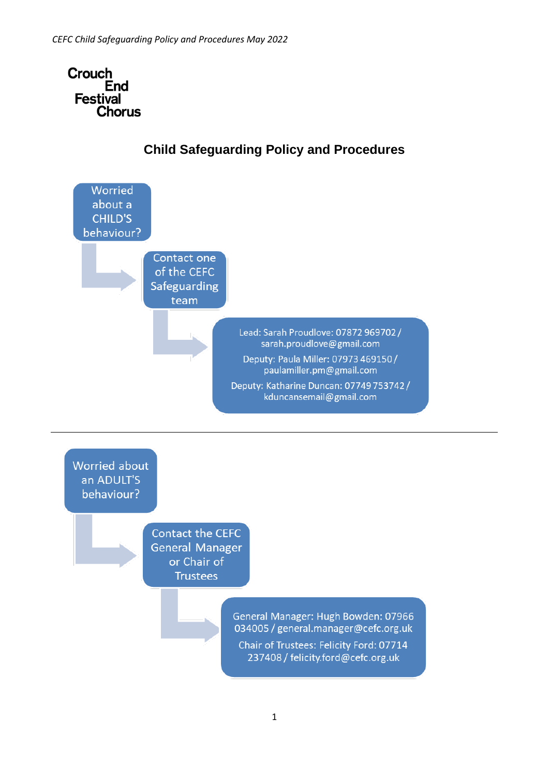



## **Child Safeguarding Policy and Procedures**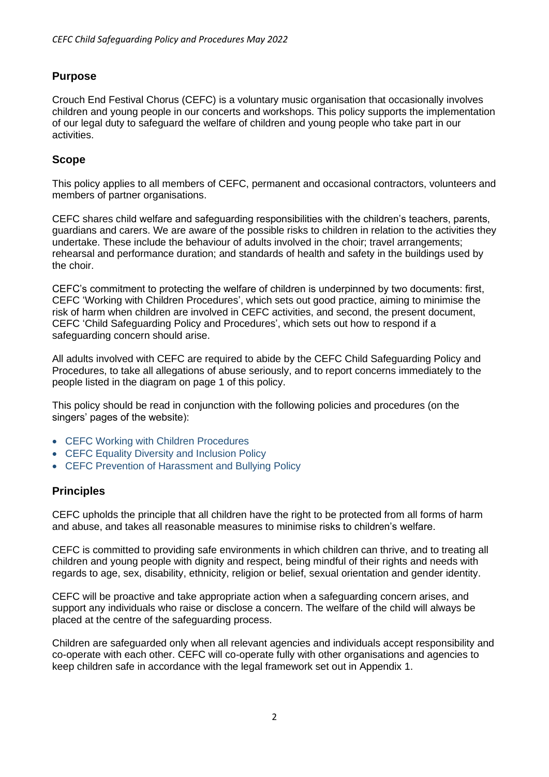## **Purpose**

Crouch End Festival Chorus (CEFC) is a voluntary music organisation that occasionally involves children and young people in our concerts and workshops. This policy supports the implementation of our legal duty to safeguard the welfare of children and young people who take part in our activities.

## **Scope**

This policy applies to all members of CEFC, permanent and occasional contractors, volunteers and members of partner organisations.

CEFC shares child welfare and safeguarding responsibilities with the children's teachers, parents, guardians and carers. We are aware of the possible risks to children in relation to the activities they undertake. These include the behaviour of adults involved in the choir; travel arrangements; rehearsal and performance duration; and standards of health and safety in the buildings used by the choir.

CEFC's commitment to protecting the welfare of children is underpinned by two documents: first, CEFC 'Working with Children Procedures', which sets out good practice, aiming to minimise the risk of harm when children are involved in CEFC activities, and second, the present document, CEFC 'Child Safeguarding Policy and Procedures', which sets out how to respond if a safeguarding concern should arise.

All adults involved with CEFC are required to abide by the CEFC Child Safeguarding Policy and Procedures, to take all allegations of abuse seriously, and to report concerns immediately to the people listed in the diagram on page 1 of this policy.

This policy should be read in conjunction with the following policies and procedures (on the singers' pages of the website):

- CEFC Working with Children Procedures
- CEFC Equality Diversity and Inclusion Policy
- CEFC Prevention of Harassment and Bullying Policy

#### **Principles**

CEFC upholds the principle that all children have the right to be protected from all forms of harm and abuse, and takes all reasonable measures to minimise risks to children's welfare.

CEFC is committed to providing safe environments in which children can thrive, and to treating all children and young people with dignity and respect, being mindful of their rights and needs with regards to age, sex, disability, ethnicity, religion or belief, sexual orientation and gender identity.

CEFC will be proactive and take appropriate action when a safeguarding concern arises, and support any individuals who raise or disclose a concern. The welfare of the child will always be placed at the centre of the safeguarding process.

Children are safeguarded only when all relevant agencies and individuals accept responsibility and co-operate with each other. CEFC will co-operate fully with other organisations and agencies to keep children safe in accordance with the legal framework set out in Appendix 1.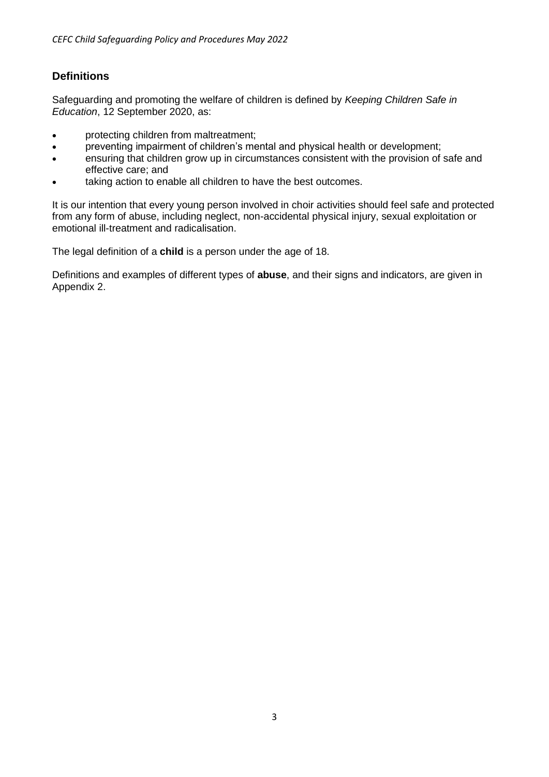## **Definitions**

Safeguarding and promoting the welfare of children is defined by *Keeping Children Safe in Education*, 12 September 2020, as:

- protecting children from maltreatment;
- preventing impairment of children's mental and physical health or development;
- ensuring that children grow up in circumstances consistent with the provision of safe and effective care; and
- taking action to enable all children to have the best outcomes.

It is our intention that every young person involved in choir activities should feel safe and protected from any form of abuse, including neglect, non-accidental physical injury, sexual exploitation or emotional ill-treatment and radicalisation.

The legal definition of a **child** is a person under the age of 18.

Definitions and examples of different types of **abuse**, and their signs and indicators, are given in Appendix 2.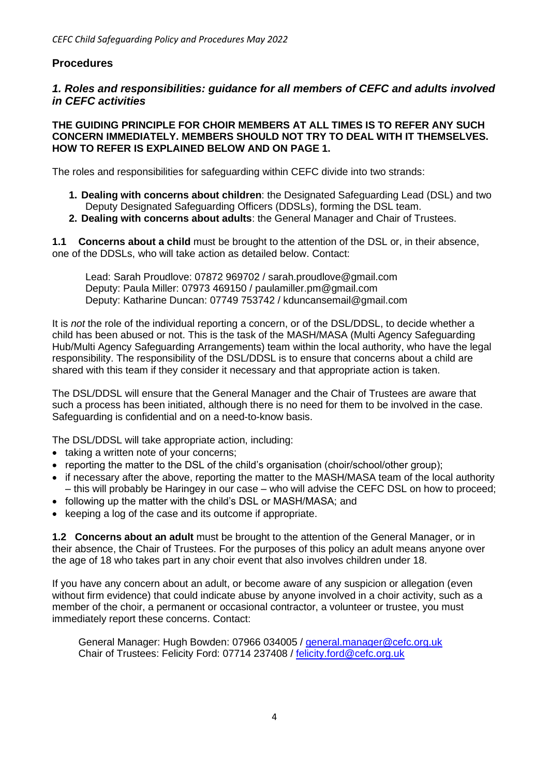#### **Procedures**

#### *1. Roles and responsibilities: guidance for all members of CEFC and adults involved in CEFC activities*

#### **THE GUIDING PRINCIPLE FOR CHOIR MEMBERS AT ALL TIMES IS TO REFER ANY SUCH CONCERN IMMEDIATELY. MEMBERS SHOULD NOT TRY TO DEAL WITH IT THEMSELVES. HOW TO REFER IS EXPLAINED BELOW AND ON PAGE 1.**

The roles and responsibilities for safeguarding within CEFC divide into two strands:

- **1. Dealing with concerns about children**: the Designated Safeguarding Lead (DSL) and two Deputy Designated Safeguarding Officers (DDSLs), forming the DSL team.
- **2. Dealing with concerns about adults**: the General Manager and Chair of Trustees.

**1.1 Concerns about a child** must be brought to the attention of the DSL or, in their absence, one of the DDSLs, who will take action as detailed below. Contact:

Lead: Sarah Proudlove: 07872 969702 / sarah.proudlove@gmail.com Deputy: Paula Miller: 07973 469150 / paulamiller.pm@gmail.com Deputy: Katharine Duncan: 07749 753742 / kduncansemail@gmail.com

It is *not* the role of the individual reporting a concern, or of the DSL/DDSL, to decide whether a child has been abused or not. This is the task of the MASH/MASA (Multi Agency Safeguarding Hub/Multi Agency Safeguarding Arrangements) team within the local authority, who have the legal responsibility. The responsibility of the DSL/DDSL is to ensure that concerns about a child are shared with this team if they consider it necessary and that appropriate action is taken.

The DSL/DDSL will ensure that the General Manager and the Chair of Trustees are aware that such a process has been initiated, although there is no need for them to be involved in the case. Safeguarding is confidential and on a need-to-know basis.

The DSL/DDSL will take appropriate action, including:

- taking a written note of your concerns;
- reporting the matter to the DSL of the child's organisation (choir/school/other group);
- if necessary after the above, reporting the matter to the MASH/MASA team of the local authority – this will probably be Haringey in our case – who will advise the CEFC DSL on how to proceed;
- following up the matter with the child's DSL or MASH/MASA; and
- keeping a log of the case and its outcome if appropriate.

**1.2 Concerns about an adult** must be brought to the attention of the General Manager, or in their absence, the Chair of Trustees. For the purposes of this policy an adult means anyone over the age of 18 who takes part in any choir event that also involves children under 18.

If you have any concern about an adult, or become aware of any suspicion or allegation (even without firm evidence) that could indicate abuse by anyone involved in a choir activity, such as a member of the choir, a permanent or occasional contractor, a volunteer or trustee, you must immediately report these concerns. Contact:

General Manager: Hugh Bowden: 07966 034005 / general.manager@cefc.org.uk Chair of Trustees: Felicity Ford: 07714 237408 / felicity.ford@cefc.org.uk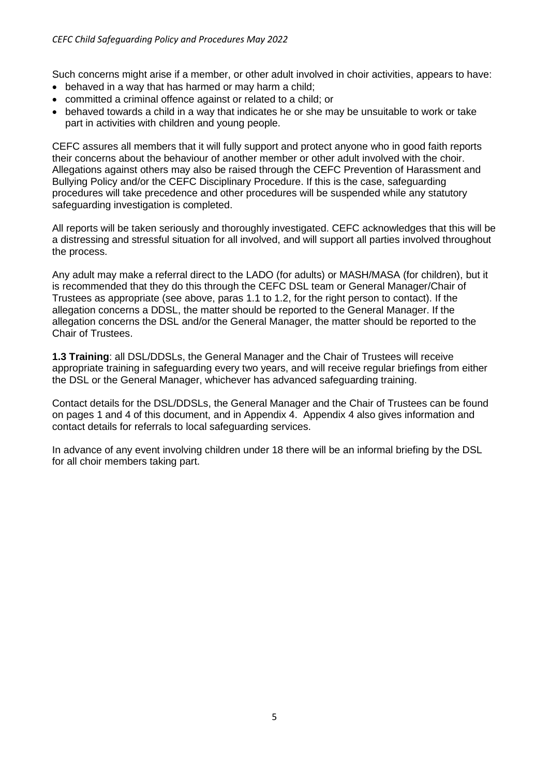Such concerns might arise if a member, or other adult involved in choir activities, appears to have:

- behaved in a way that has harmed or may harm a child;
- committed a criminal offence against or related to a child; or
- behaved towards a child in a way that indicates he or she may be unsuitable to work or take part in activities with children and young people.

CEFC assures all members that it will fully support and protect anyone who in good faith reports their concerns about the behaviour of another member or other adult involved with the choir. Allegations against others may also be raised through the CEFC Prevention of Harassment and Bullying Policy and/or the CEFC Disciplinary Procedure. If this is the case, safeguarding procedures will take precedence and other procedures will be suspended while any statutory safeguarding investigation is completed.

All reports will be taken seriously and thoroughly investigated. CEFC acknowledges that this will be a distressing and stressful situation for all involved, and will support all parties involved throughout the process.

Any adult may make a referral direct to the LADO (for adults) or MASH/MASA (for children), but it is recommended that they do this through the CEFC DSL team or General Manager/Chair of Trustees as appropriate (see above, paras 1.1 to 1.2, for the right person to contact). If the allegation concerns a DDSL, the matter should be reported to the General Manager. If the allegation concerns the DSL and/or the General Manager, the matter should be reported to the Chair of Trustees.

**1.3 Training**: all DSL/DDSLs, the General Manager and the Chair of Trustees will receive appropriate training in safeguarding every two years, and will receive regular briefings from either the DSL or the General Manager, whichever has advanced safeguarding training.

Contact details for the DSL/DDSLs, the General Manager and the Chair of Trustees can be found on pages 1 and 4 of this document, and in Appendix 4. Appendix 4 also gives information and contact details for referrals to local safeguarding services.

In advance of any event involving children under 18 there will be an informal briefing by the DSL for all choir members taking part.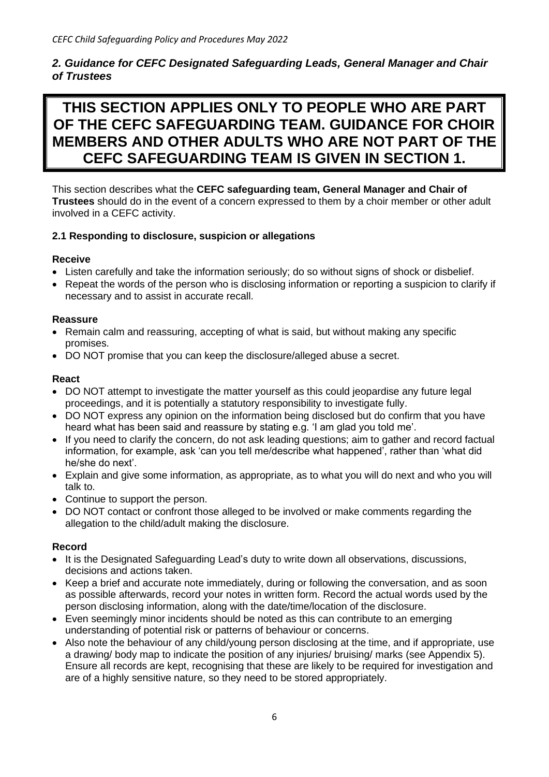### *2. Guidance for CEFC Designated Safeguarding Leads, General Manager and Chair of Trustees*

## **THIS SECTION APPLIES ONLY TO PEOPLE WHO ARE PART OF THE CEFC SAFEGUARDING TEAM. GUIDANCE FOR CHOIR MEMBERS AND OTHER ADULTS WHO ARE NOT PART OF THE CEFC SAFEGUARDING TEAM IS GIVEN IN SECTION 1.**

This section describes what the **CEFC safeguarding team, General Manager and Chair of Trustees** should do in the event of a concern expressed to them by a choir member or other adult involved in a CEFC activity.

#### **2.1 Responding to disclosure, suspicion or allegations**

#### **Receive**

- Listen carefully and take the information seriously; do so without signs of shock or disbelief.
- Repeat the words of the person who is disclosing information or reporting a suspicion to clarify if necessary and to assist in accurate recall.

#### **Reassure**

- Remain calm and reassuring, accepting of what is said, but without making any specific promises.
- DO NOT promise that you can keep the disclosure/alleged abuse a secret.

#### **React**

- DO NOT attempt to investigate the matter yourself as this could jeopardise any future legal proceedings, and it is potentially a statutory responsibility to investigate fully.
- DO NOT express any opinion on the information being disclosed but do confirm that you have heard what has been said and reassure by stating e.g. 'I am glad you told me'.
- If you need to clarify the concern, do not ask leading questions; aim to gather and record factual information, for example, ask 'can you tell me/describe what happened', rather than 'what did he/she do next'.
- Explain and give some information, as appropriate, as to what you will do next and who you will talk to.
- Continue to support the person.
- DO NOT contact or confront those alleged to be involved or make comments regarding the allegation to the child/adult making the disclosure.

#### **Record**

- It is the Designated Safeguarding Lead's duty to write down all observations, discussions, decisions and actions taken.
- Keep a brief and accurate note immediately, during or following the conversation, and as soon as possible afterwards, record your notes in written form. Record the actual words used by the person disclosing information, along with the date/time/location of the disclosure.
- Even seemingly minor incidents should be noted as this can contribute to an emerging understanding of potential risk or patterns of behaviour or concerns.
- Also note the behaviour of any child/young person disclosing at the time, and if appropriate, use a drawing/ body map to indicate the position of any injuries/ bruising/ marks (see Appendix 5). Ensure all records are kept, recognising that these are likely to be required for investigation and are of a highly sensitive nature, so they need to be stored appropriately.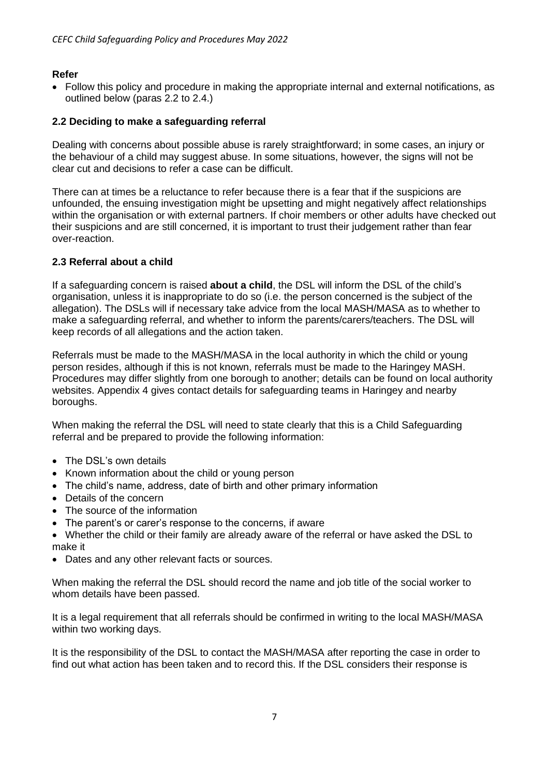#### **Refer**

• Follow this policy and procedure in making the appropriate internal and external notifications, as outlined below (paras 2.2 to 2.4.)

#### **2.2 Deciding to make a safeguarding referral**

Dealing with concerns about possible abuse is rarely straightforward; in some cases, an injury or the behaviour of a child may suggest abuse. In some situations, however, the signs will not be clear cut and decisions to refer a case can be difficult.

There can at times be a reluctance to refer because there is a fear that if the suspicions are unfounded, the ensuing investigation might be upsetting and might negatively affect relationships within the organisation or with external partners. If choir members or other adults have checked out their suspicions and are still concerned, it is important to trust their judgement rather than fear over-reaction.

#### **2.3 Referral about a child**

If a safeguarding concern is raised **about a child**, the DSL will inform the DSL of the child's organisation, unless it is inappropriate to do so (i.e. the person concerned is the subject of the allegation). The DSLs will if necessary take advice from the local MASH/MASA as to whether to make a safeguarding referral, and whether to inform the parents/carers/teachers. The DSL will keep records of all allegations and the action taken.

Referrals must be made to the MASH/MASA in the local authority in which the child or young person resides, although if this is not known, referrals must be made to the Haringey MASH. Procedures may differ slightly from one borough to another; details can be found on local authority websites. Appendix 4 gives contact details for safeguarding teams in Haringey and nearby boroughs.

When making the referral the DSL will need to state clearly that this is a Child Safeguarding referral and be prepared to provide the following information:

- The DSL's own details
- Known information about the child or young person
- The child's name, address, date of birth and other primary information
- Details of the concern
- The source of the information
- The parent's or carer's response to the concerns, if aware
- Whether the child or their family are already aware of the referral or have asked the DSL to make it
- Dates and any other relevant facts or sources.

When making the referral the DSL should record the name and job title of the social worker to whom details have been passed.

It is a legal requirement that all referrals should be confirmed in writing to the local MASH/MASA within two working days.

It is the responsibility of the DSL to contact the MASH/MASA after reporting the case in order to find out what action has been taken and to record this. If the DSL considers their response is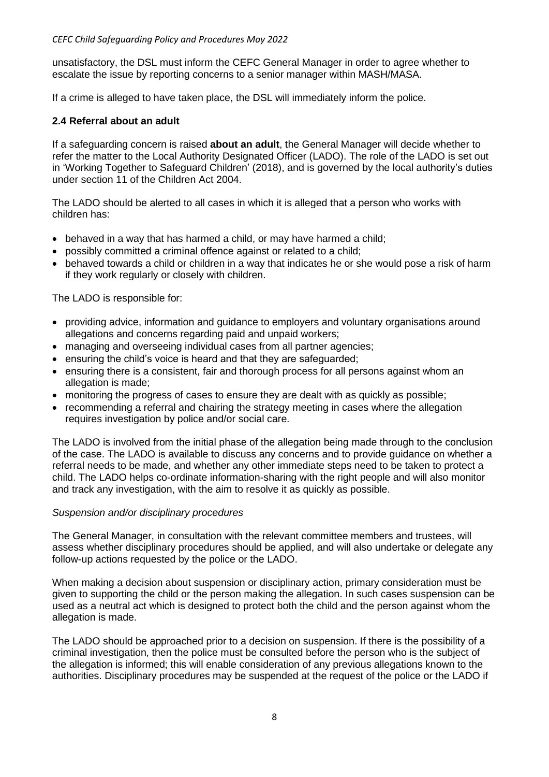unsatisfactory, the DSL must inform the CEFC General Manager in order to agree whether to escalate the issue by reporting concerns to a senior manager within MASH/MASA.

If a crime is alleged to have taken place, the DSL will immediately inform the police.

#### **2.4 Referral about an adult**

If a safeguarding concern is raised **about an adult**, the General Manager will decide whether to refer the matter to the Local Authority Designated Officer (LADO). The role of the LADO is set out in 'Working Together to Safeguard Children' (2018), and is governed by the local authority's duties under section 11 of the Children Act 2004.

The LADO should be alerted to all cases in which it is alleged that a person who works with children has:

- behaved in a way that has harmed a child, or may have harmed a child;
- possibly committed a criminal offence against or related to a child;
- behaved towards a child or children in a way that indicates he or she would pose a risk of harm if they work regularly or closely with children.

The LADO is responsible for:

- providing advice, information and guidance to employers and voluntary organisations around allegations and concerns regarding paid and unpaid workers;
- managing and overseeing individual cases from all partner agencies;
- ensuring the child's voice is heard and that they are safeguarded;
- ensuring there is a consistent, fair and thorough process for all persons against whom an allegation is made;
- monitoring the progress of cases to ensure they are dealt with as quickly as possible;
- recommending a referral and chairing the strategy meeting in cases where the allegation requires investigation by police and/or social care.

The LADO is involved from the initial phase of the allegation being made through to the conclusion of the case. The LADO is available to discuss any concerns and to provide guidance on whether a referral needs to be made, and whether any other immediate steps need to be taken to protect a child. The LADO helps co-ordinate information-sharing with the right people and will also monitor and track any investigation, with the aim to resolve it as quickly as possible.

#### *Suspension and/or disciplinary procedures*

The General Manager, in consultation with the relevant committee members and trustees, will assess whether disciplinary procedures should be applied, and will also undertake or delegate any follow-up actions requested by the police or the LADO.

When making a decision about suspension or disciplinary action, primary consideration must be given to supporting the child or the person making the allegation. In such cases suspension can be used as a neutral act which is designed to protect both the child and the person against whom the allegation is made.

The LADO should be approached prior to a decision on suspension. If there is the possibility of a criminal investigation, then the police must be consulted before the person who is the subject of the allegation is informed; this will enable consideration of any previous allegations known to the authorities. Disciplinary procedures may be suspended at the request of the police or the LADO if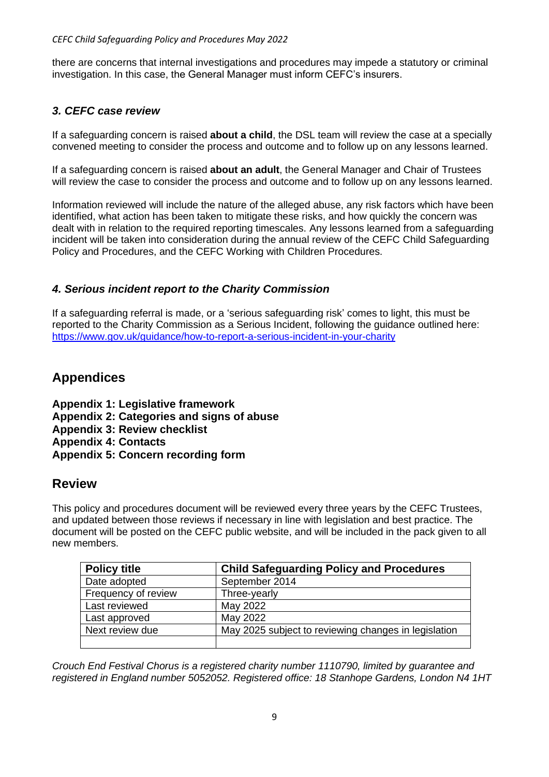there are concerns that internal investigations and procedures may impede a statutory or criminal investigation. In this case, the General Manager must inform CEFC's insurers.

## *3. CEFC case review*

If a safeguarding concern is raised **about a child**, the DSL team will review the case at a specially convened meeting to consider the process and outcome and to follow up on any lessons learned.

If a safeguarding concern is raised **about an adult**, the General Manager and Chair of Trustees will review the case to consider the process and outcome and to follow up on any lessons learned.

Information reviewed will include the nature of the alleged abuse, any risk factors which have been identified, what action has been taken to mitigate these risks, and how quickly the concern was dealt with in relation to the required reporting timescales. Any lessons learned from a safeguarding incident will be taken into consideration during the annual review of the CEFC Child Safeguarding Policy and Procedures, and the CEFC Working with Children Procedures.

## *4. Serious incident report to the Charity Commission*

If a safeguarding referral is made, or a 'serious safeguarding risk' comes to light, this must be reported to the Charity Commission as a Serious Incident, following the guidance outlined here: https://www.gov.uk/guidance/how-to-report-a-serious-incident-in-your-charity

## **Appendices**

**Appendix 1: Legislative framework Appendix 2: Categories and signs of abuse Appendix 3: Review checklist Appendix 4: Contacts Appendix 5: Concern recording form**

## **Review**

This policy and procedures document will be reviewed every three years by the CEFC Trustees, and updated between those reviews if necessary in line with legislation and best practice. The document will be posted on the CEFC public website, and will be included in the pack given to all new members.

| <b>Policy title</b> | <b>Child Safeguarding Policy and Procedures</b>      |
|---------------------|------------------------------------------------------|
| Date adopted        | September 2014                                       |
| Frequency of review | Three-yearly                                         |
| Last reviewed       | May 2022                                             |
| Last approved       | May 2022                                             |
| Next review due     | May 2025 subject to reviewing changes in legislation |
|                     |                                                      |

*Crouch End Festival Chorus is a registered charity number 1110790, limited by guarantee and registered in England number 5052052. Registered office: 18 Stanhope Gardens, London N4 1HT*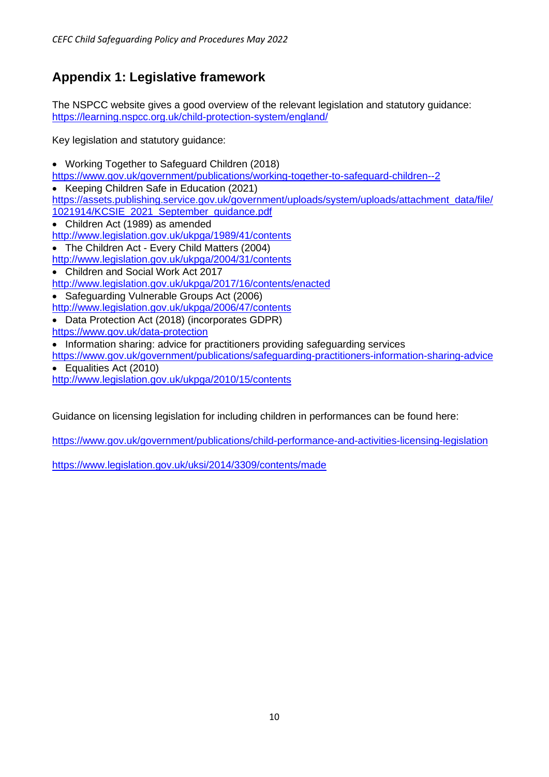## **Appendix 1: Legislative framework**

The NSPCC website gives a good overview of the relevant legislation and statutory guidance: https://learning.nspcc.org.uk/child-protection-system/england/

Key legislation and statutory guidance:

- Working Together to Safeguard Children (2018)
- https://www.gov.uk/government/publications/working-together-to-safeguard-children--2
- Keeping Children Safe in Education (2021)
- https://assets.publishing.service.gov.uk/government/uploads/system/uploads/attachment\_data/file/
- 1021914/KCSIE\_2021\_September\_guidance.pdf
- Children Act (1989) as amended
- http://www.legislation.gov.uk/ukpga/1989/41/contents
- The Children Act Every Child Matters (2004)
- http://www.legislation.gov.uk/ukpga/2004/31/contents
- Children and Social Work Act 2017 http://www.legislation.gov.uk/ukpga/2017/16/contents/enacted
- Safeguarding Vulnerable Groups Act (2006)
- http://www.legislation.gov.uk/ukpga/2006/47/contents
- Data Protection Act (2018) (incorporates GDPR)
- https://www.gov.uk/data-protection
- Information sharing: advice for practitioners providing safeguarding services
- https://www.gov.uk/government/publications/safeguarding-practitioners-information-sharing-advice • Equalities Act (2010)
- http://www.legislation.gov.uk/ukpga/2010/15/contents

Guidance on licensing legislation for including children in performances can be found here:

https://www.gov.uk/government/publications/child-performance-and-activities-licensing-legislation

https://www.legislation.gov.uk/uksi/2014/3309/contents/made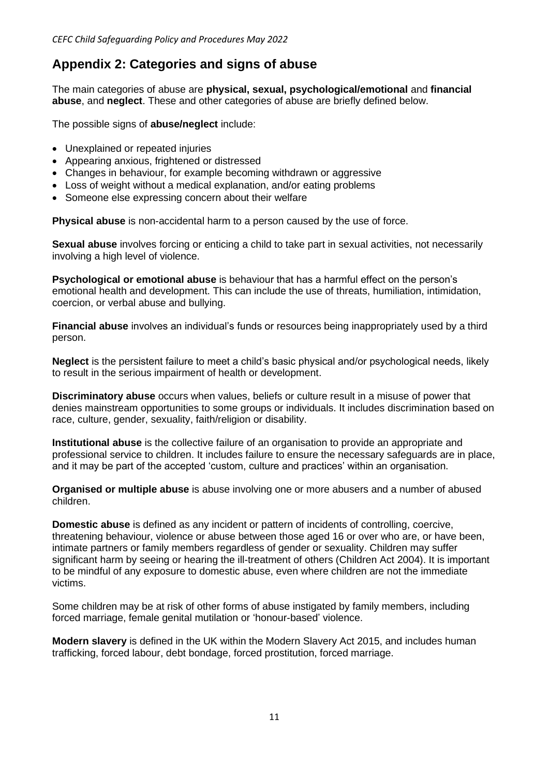## **Appendix 2: Categories and signs of abuse**

The main categories of abuse are **physical, sexual, psychological/emotional** and **financial abuse**, and **neglect**. These and other categories of abuse are briefly defined below.

The possible signs of **abuse/neglect** include:

- Unexplained or repeated injuries
- Appearing anxious, frightened or distressed
- Changes in behaviour, for example becoming withdrawn or aggressive
- Loss of weight without a medical explanation, and/or eating problems
- Someone else expressing concern about their welfare

**Physical abuse** is non-accidental harm to a person caused by the use of force.

**Sexual abuse** involves forcing or enticing a child to take part in sexual activities, not necessarily involving a high level of violence.

**Psychological or emotional abuse** is behaviour that has a harmful effect on the person's emotional health and development. This can include the use of threats, humiliation, intimidation, coercion, or verbal abuse and bullying.

**Financial abuse** involves an individual's funds or resources being inappropriately used by a third person.

**Neglect** is the persistent failure to meet a child's basic physical and/or psychological needs, likely to result in the serious impairment of health or development.

**Discriminatory abuse** occurs when values, beliefs or culture result in a misuse of power that denies mainstream opportunities to some groups or individuals. It includes discrimination based on race, culture, gender, sexuality, faith/religion or disability.

**Institutional abuse** is the collective failure of an organisation to provide an appropriate and professional service to children. It includes failure to ensure the necessary safeguards are in place, and it may be part of the accepted 'custom, culture and practices' within an organisation.

**Organised or multiple abuse** is abuse involving one or more abusers and a number of abused children.

**Domestic abuse** is defined as any incident or pattern of incidents of controlling, coercive, threatening behaviour, violence or abuse between those aged 16 or over who are, or have been, intimate partners or family members regardless of gender or sexuality. Children may suffer significant harm by seeing or hearing the ill-treatment of others (Children Act 2004). It is important to be mindful of any exposure to domestic abuse, even where children are not the immediate victims.

Some children may be at risk of other forms of abuse instigated by family members, including forced marriage, female genital mutilation or 'honour-based' violence.

**Modern slavery** is defined in the UK within the Modern Slavery Act 2015, and includes human trafficking, forced labour, debt bondage, forced prostitution, forced marriage.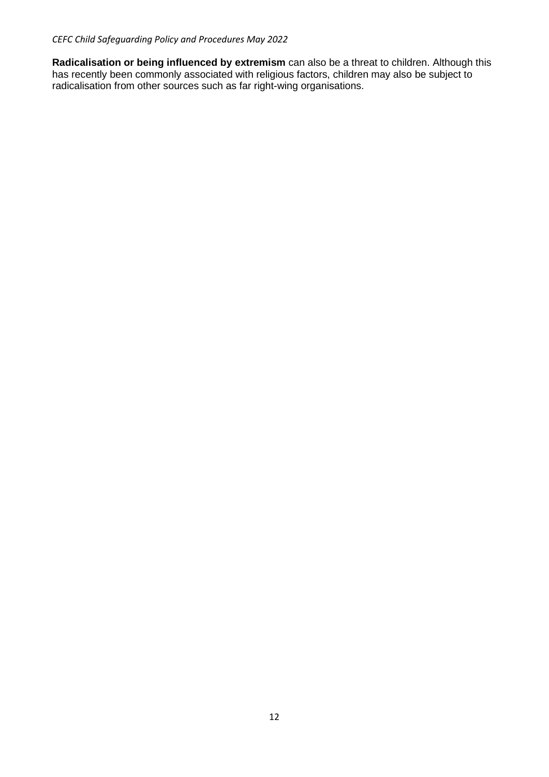**Radicalisation or being influenced by extremism** can also be a threat to children. Although this has recently been commonly associated with religious factors, children may also be subject to radicalisation from other sources such as far right-wing organisations.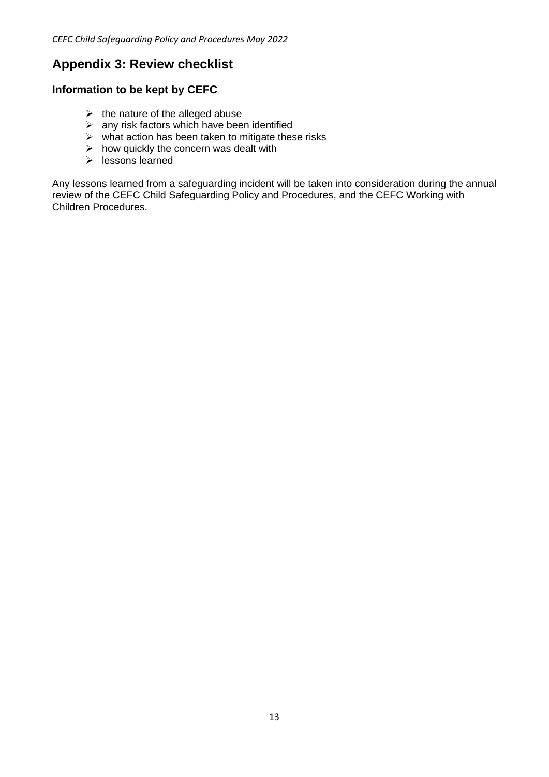## **Appendix 3: Review checklist**

## **Information to be kept by CEFC**

- $\triangleright$  the nature of the alleged abuse
- $\triangleright$  any risk factors which have been identified
- $\triangleright$  what action has been taken to mitigate these risks
- $\triangleright$  how quickly the concern was dealt with
- ➢ lessons learned

Any lessons learned from a safeguarding incident will be taken into consideration during the annual review of the CEFC Child Safeguarding Policy and Procedures, and the CEFC Working with Children Procedures.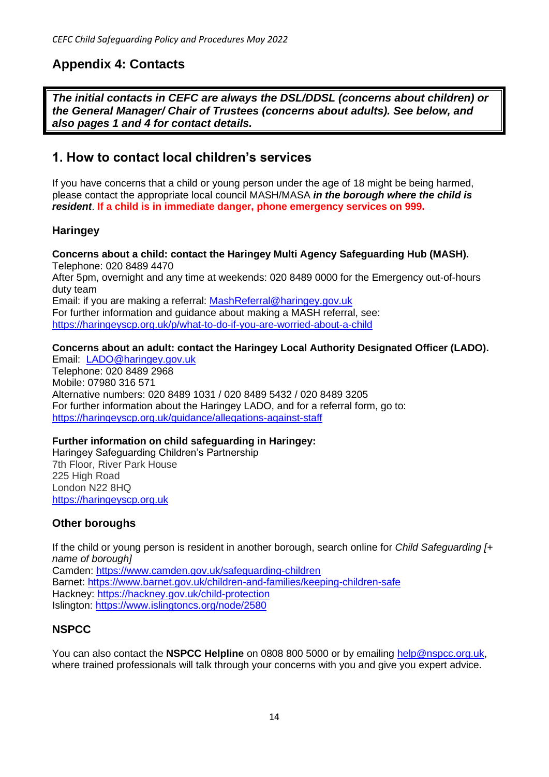## **Appendix 4: Contacts**

*The initial contacts in CEFC are always the DSL/DDSL (concerns about children) or the General Manager/ Chair of Trustees (concerns about adults). See below, and also pages 1 and 4 for contact details.*

## **1. How to contact local children's services**

If you have concerns that a child or young person under the age of 18 might be being harmed, please contact the appropriate local council MASH/MASA *in the borough where the child is resident*. **If a child is in immediate danger, phone emergency services on 999.**

## **Haringey**

**Concerns about a child: contact the Haringey Multi Agency Safeguarding Hub (MASH).** Telephone: 020 8489 4470 After 5pm, overnight and any time at weekends: 020 8489 0000 for the Emergency out-of-hours duty team Email: if you are making a referral: MashReferral@haringey.gov.uk For further information and guidance about making a MASH referral, see: https://haringeyscp.org.uk/p/what-to-do-if-you-are-worried-about-a-child

#### **Concerns about an adult: contact the Haringey Local Authority Designated Officer (LADO).**

Email: LADO@haringey.gov.uk Telephone: 020 8489 2968 Mobile: 07980 316 571 Alternative numbers: 020 8489 1031 / 020 8489 5432 / 020 8489 3205 For further information about the Haringey LADO, and for a referral form, go to: https://haringeyscp.org.uk/guidance/allegations-against-staff

#### **Further information on child safeguarding in Haringey:**

Haringey Safeguarding Children's Partnership 7th Floor, River Park House 225 High Road London N22 8HQ https://haringeyscp.org.uk

## **Other boroughs**

If the child or young person is resident in another borough, search online for *Child Safeguarding [+ name of borough]* Camden: https://www.camden.gov.uk/safeguarding-children Barnet: https://www.barnet.gov.uk/children-and-families/keeping-children-safe Hackney: https://hackney.gov.uk/child-protection Islington: https://www.islingtoncs.org/node/2580

## **NSPCC**

You can also contact the **NSPCC Helpline** on 0808 800 5000 or by emailing help@nspcc.org.uk, where trained professionals will talk through your concerns with you and give you expert advice.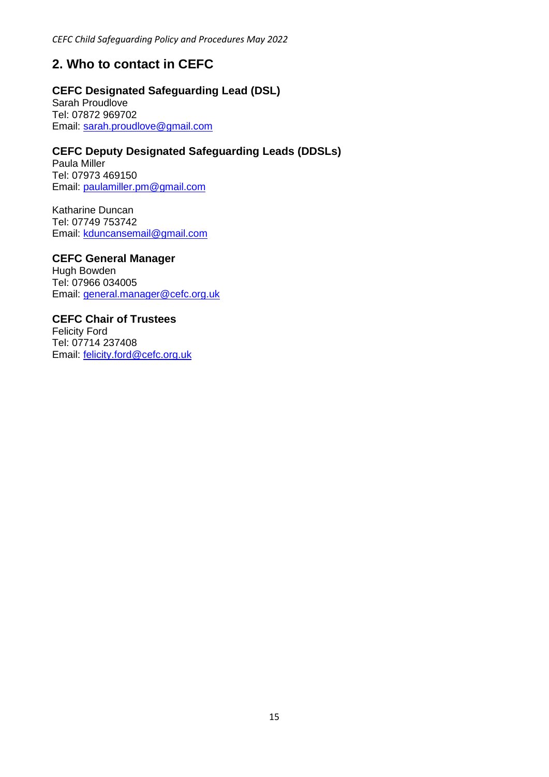## **2. Who to contact in CEFC**

### **CEFC Designated Safeguarding Lead (DSL)**

Sarah Proudlove Tel: 07872 969702 Email: sarah.proudlove@gmail.com

### **CEFC Deputy Designated Safeguarding Leads (DDSLs)**

Paula Miller Tel: 07973 469150 Email: paulamiller.pm@gmail.com

Katharine Duncan Tel: 07749 753742 Email: kduncansemail@gmail.com

**CEFC General Manager** Hugh Bowden Tel: 07966 034005 Email: general.manager@cefc.org.uk

## **CEFC Chair of Trustees**

Felicity Ford Tel: 07714 237408 Email: felicity.ford@cefc.org.uk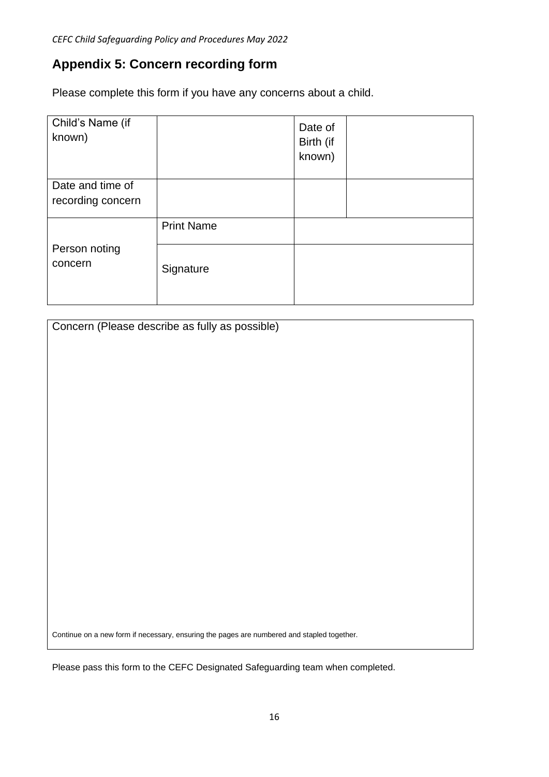## **Appendix 5: Concern recording form**

Please complete this form if you have any concerns about a child.

| Child's Name (if<br>known)            |                   | Date of<br>Birth (if<br>known) |  |
|---------------------------------------|-------------------|--------------------------------|--|
| Date and time of<br>recording concern |                   |                                |  |
| Person noting<br>concern              | <b>Print Name</b> |                                |  |
|                                       | Signature         |                                |  |

| Concern (Please describe as fully as possible)                                             |  |  |
|--------------------------------------------------------------------------------------------|--|--|
|                                                                                            |  |  |
|                                                                                            |  |  |
|                                                                                            |  |  |
|                                                                                            |  |  |
|                                                                                            |  |  |
|                                                                                            |  |  |
|                                                                                            |  |  |
|                                                                                            |  |  |
|                                                                                            |  |  |
|                                                                                            |  |  |
|                                                                                            |  |  |
|                                                                                            |  |  |
|                                                                                            |  |  |
|                                                                                            |  |  |
|                                                                                            |  |  |
| Continue on a new form if necessary, ensuring the pages are numbered and stapled together. |  |  |

Please pass this form to the CEFC Designated Safeguarding team when completed.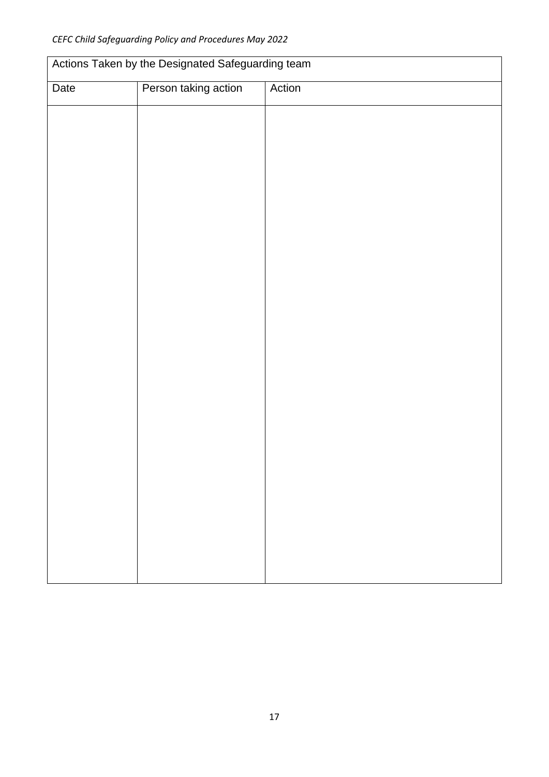| Actions Taken by the Designated Safeguarding team |                      |        |  |
|---------------------------------------------------|----------------------|--------|--|
| Date                                              | Person taking action | Action |  |
|                                                   |                      |        |  |
|                                                   |                      |        |  |
|                                                   |                      |        |  |
|                                                   |                      |        |  |
|                                                   |                      |        |  |
|                                                   |                      |        |  |
|                                                   |                      |        |  |
|                                                   |                      |        |  |
|                                                   |                      |        |  |
|                                                   |                      |        |  |
|                                                   |                      |        |  |
|                                                   |                      |        |  |
|                                                   |                      |        |  |
|                                                   |                      |        |  |
|                                                   |                      |        |  |
|                                                   |                      |        |  |
|                                                   |                      |        |  |
|                                                   |                      |        |  |
|                                                   |                      |        |  |
|                                                   |                      |        |  |
|                                                   |                      |        |  |